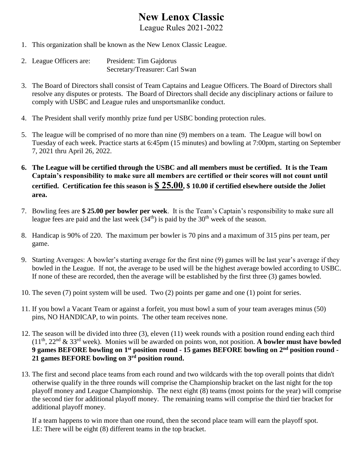## **New Lenox Classic**

League Rules 2021-2022

- 1. This organization shall be known as the New Lenox Classic League.
- 2. League Officers are: President: Tim Gajdorus Secretary/Treasurer: Carl Swan
- 3. The Board of Directors shall consist of Team Captains and League Officers. The Board of Directors shall resolve any disputes or protests. The Board of Directors shall decide any disciplinary actions or failure to comply with USBC and League rules and unsportsmanlike conduct.
- 4. The President shall verify monthly prize fund per USBC bonding protection rules.
- 5. The league will be comprised of no more than nine (9) members on a team. The League will bowl on Tuesday of each week. Practice starts at 6:45pm (15 minutes) and bowling at 7:00pm, starting on September 7, 2021 thru April 26, 2022.
- **6. The League will be certified through the USBC and all members must be certified. It is the Team Captain's responsibility to make sure all members are certified or their scores will not count until certified. Certification fee this season is \$ 25.00, \$ 10.00 if certified elsewhere outside the Joliet area.**
- 7. Bowling fees are **\$ 25.00 per bowler per week**. It is the Team's Captain's responsibility to make sure all league fees are paid and the last week  $(34<sup>th</sup>)$  is paid by the  $30<sup>th</sup>$  week of the season.
- 8. Handicap is 90% of 220. The maximum per bowler is 70 pins and a maximum of 315 pins per team, per game.
- 9. Starting Averages: A bowler's starting average for the first nine (9) games will be last year's average if they bowled in the League. If not, the average to be used will be the highest average bowled according to USBC. If none of these are recorded, then the average will be established by the first three (3) games bowled.
- 10. The seven (7) point system will be used. Two (2) points per game and one (1) point for series.
- 11. If you bowl a Vacant Team or against a forfeit, you must bowl a sum of your team averages minus (50) pins, NO HANDICAP, to win points. The other team receives none.
- 12. The season will be divided into three (3), eleven (11) week rounds with a position round ending each third  $(11<sup>th</sup>, 22<sup>nd</sup> & 33<sup>rd</sup> week)$ . Monies will be awarded on points won, not position. A bowler must have bowled **9 games BEFORE bowling on 1 st position round - 15 games BEFORE bowling on 2 nd position round - 21 games BEFORE bowling on 3 rd position round.**
- 13. The first and second place teams from each round and two wildcards with the top overall points that didn't otherwise qualify in the three rounds will comprise the Championship bracket on the last night for the top playoff money and League Championship. The next eight (8) teams (most points for the year) will comprise the second tier for additional playoff money. The remaining teams will comprise the third tier bracket for additional playoff money.

If a team happens to win more than one round, then the second place team will earn the playoff spot. I.E: There will be eight (8) different teams in the top bracket.